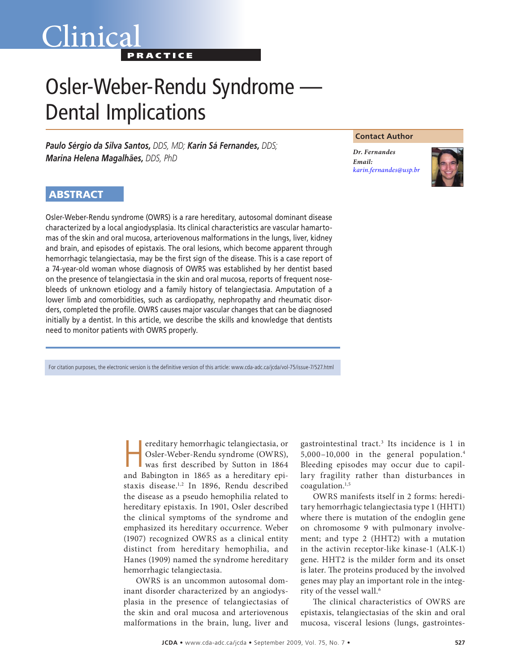## Clinica<sup>®</sup> **PRACTICE**

# Osler-Weber-Rendu Syndrome — Dental Implications

*Paulo Sérgio da Silva Santos, DDS, MD; Karin Sá Fernandes, DDS; Marina Helena Magalhães, DDS, PhD* 

#### **Contact Author**

*Dr. Fernandes Email: [karin.fernandes@usp.br](mailto:karin.fernandes@usp.br)*



## **ABSTRACT**

Osler-Weber-Rendu syndrome (OWRS) is a rare hereditary, autosomal dominant disease characterized by a local angiodysplasia. Its clinical characteristics are vascular hamartomas of the skin and oral mucosa, arteriovenous malformations in the lungs, liver, kidney and brain, and episodes of epistaxis. The oral lesions, which become apparent through hemorrhagic telangiectasia, may be the first sign of the disease. This is a case report of a 74-year-old woman whose diagnosis of OWRS was established by her dentist based on the presence of telangiectasia in the skin and oral mucosa, reports of frequent nosebleeds of unknown etiology and a family history of telangiectasia. Amputation of a lower limb and comorbidities, such as cardiopathy, nephropathy and rheumatic disorders, completed the profile. OWRS causes major vascular changes that can be diagnosed initially by a dentist. In this article, we describe the skills and knowledge that dentists need to monitor patients with OWRS properly.

For citation purposes, the electronic version is the definitive version of this article: www.cda-adc.ca/jcda/vol-75/issue-7/527.html

ereditary hemorrhagic telangiectasia, or Osler-Weber-Rendu syndrome (OWRS), was first described by Sutton in 1864 and Babington in 1865 as a hereditary epistaxis disease.1,2 In 1896, Rendu described the disease as a pseudo hemophilia related to hereditary epistaxis. In 1901, Osler described the clinical symptoms of the syndrome and emphasized its hereditary occurrence. Weber (1907) recognized OWRS as a clinical entity distinct from hereditary hemophilia, and Hanes (1909) named the syndrome hereditary hemorrhagic telangiectasia.

OWRS is an uncommon autosomal dominant disorder characterized by an angiodysplasia in the presence of telangiectasias of the skin and oral mucosa and arteriovenous malformations in the brain, lung, liver and

gastrointestinal tract.<sup>3</sup> Its incidence is 1 in 5,000–10,000 in the general population.4 Bleeding episodes may occur due to capillary fragility rather than disturbances in coagulation.1,5

OWRS manifests itself in 2 forms: hereditary hemorrhagic telangiectasia type 1 (HHT1) where there is mutation of the endoglin gene on chromosome 9 with pulmonary involvement; and type 2 (HHT2) with a mutation in the activin receptor-like kinase-1 (ALK-1) gene. HHT2 is the milder form and its onset is later. The proteins produced by the involved genes may play an important role in the integrity of the vessel wall.<sup>6</sup>

The clinical characteristics of OWRS are epistaxis, telangiectasias of the skin and oral mucosa, visceral lesions (lungs, gastrointes-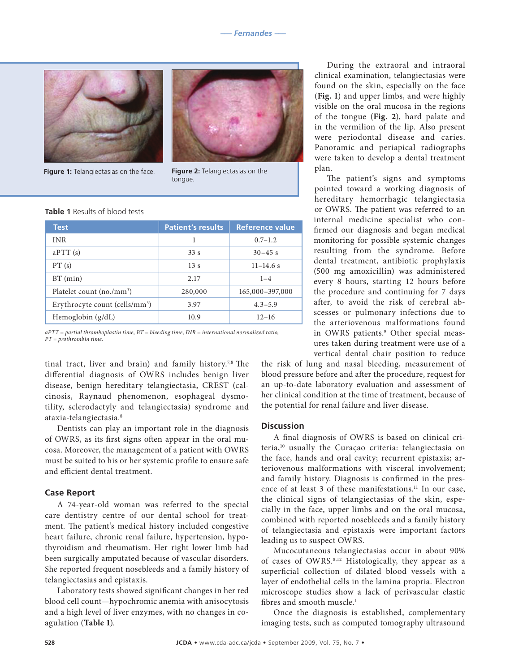

**Figure 1:** Telangiectasias on the face. **Figure 2:** Telangiectasias on the



tongue.

#### **Table 1** Results of blood tests

| <b>Test</b>                                | <b>Patient's results</b> | Reference value |
|--------------------------------------------|--------------------------|-----------------|
| <b>INR</b>                                 |                          | $0.7 - 1.2$     |
| aPTT(s)                                    | 33s                      | $30 - 45$ s     |
| PT(s)                                      | 13s                      | $11 - 14.6$ s   |
| $BT$ (min)                                 | 2.17                     | $1 - 4$         |
| Platelet count $(no./mm^3)$                | 280,000                  | 165,000-397,000 |
| Erythrocyte count (cells/mm <sup>3</sup> ) | 3.97                     | $4.3 - 5.9$     |
| Hemoglobin $(g/dL)$                        | 10.9                     | $12 - 16$       |

*aPTT = partial thromboplastin time, BT = bleeding time, INR = international normalized ratio, PT = prothrombin time.*

tinal tract, liver and brain) and family history.<sup>7,8</sup> The differential diagnosis of OWRS includes benign liver disease, benign hereditary telangiectasia, CREST (calcinosis, Raynaud phenomenon, esophageal dysmotility, sclerodactyly and telangiectasia) syndrome and ataxia-telangiectasia.8

Dentists can play an important role in the diagnosis of OWRS, as its first signs often appear in the oral mucosa. Moreover, the management of a patient with OWRS must be suited to his or her systemic profile to ensure safe and efficient dental treatment.

#### **Case Report**

A 74-year-old woman was referred to the special care dentistry centre of our dental school for treatment. The patient's medical history included congestive heart failure, chronic renal failure, hypertension, hypothyroidism and rheumatism. Her right lower limb had been surgically amputated because of vascular disorders. She reported frequent nosebleeds and a family history of telangiectasias and epistaxis.

Laboratory tests showed significant changes in her red blood cell count—hypochromic anemia with anisocytosis and a high level of liver enzymes, with no changes in coagulation (**Table 1**).

During the extraoral and intraoral clinical examination, telangiectasias were found on the skin, especially on the face (**Fig. 1**) and upper limbs, and were highly visible on the oral mucosa in the regions of the tongue (**Fig. 2**), hard palate and in the vermilion of the lip. Also present were periodontal disease and caries. Panoramic and periapical radiographs were taken to develop a dental treatment plan.

The patient's signs and symptoms pointed toward a working diagnosis of hereditary hemorrhagic telangiectasia or OWRS. The patient was referred to an internal medicine specialist who confirmed our diagnosis and began medical monitoring for possible systemic changes resulting from the syndrome. Before dental treatment, antibiotic prophylaxis (500 mg amoxicillin) was administered every 8 hours, starting 12 hours before the procedure and continuing for 7 days after, to avoid the risk of cerebral abscesses or pulmonary infections due to the arteriovenous malformations found in OWRS patients.9 Other special measures taken during treatment were use of a vertical dental chair position to reduce

the risk of lung and nasal bleeding, measurement of blood pressure before and after the procedure, request for an up-to-date laboratory evaluation and assessment of her clinical condition at the time of treatment, because of the potential for renal failure and liver disease.

#### **Discussion**

A final diagnosis of OWRS is based on clinical criteria,<sup>10</sup> usually the Curaçao criteria: telangiectasia on the face, hands and oral cavity; recurrent epistaxis; arteriovenous malformations with visceral involvement; and family history. Diagnosis is confirmed in the presence of at least 3 of these manifestations.<sup>11</sup> In our case, the clinical signs of telangiectasias of the skin, especially in the face, upper limbs and on the oral mucosa, combined with reported nosebleeds and a family history of telangiectasia and epistaxis were important factors leading us to suspect OWRS.

Mucocutaneous telangiectasias occur in about 90% of cases of OWRS.8,12 Histologically, they appear as a superficial collection of dilated blood vessels with a layer of endothelial cells in the lamina propria. Electron microscope studies show a lack of perivascular elastic fibres and smooth muscle.<sup>1</sup>

Once the diagnosis is established, complementary imaging tests, such as computed tomography ultrasound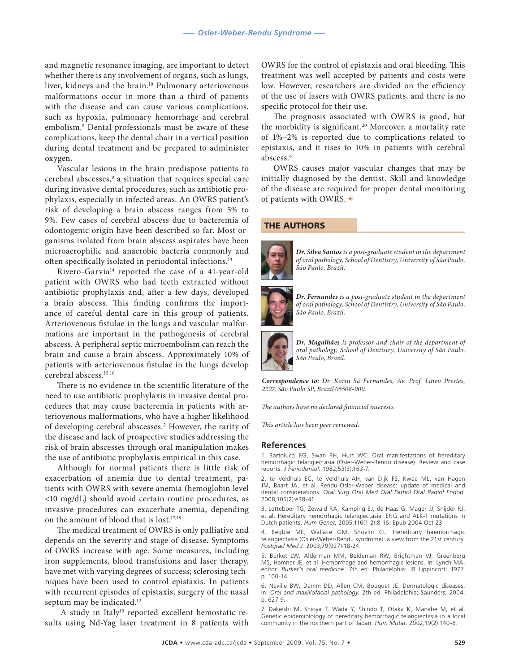and magnetic resonance imaging, are important to detect whether there is any involvement of organs, such as lungs, liver, kidneys and the brain.<sup>10</sup> Pulmonary arteriovenous malformations occur in more than a third of patients with the disease and can cause various complications, such as hypoxia, pulmonary hemorrhage and cerebral embolism.9 Dental professionals must be aware of these complications, keep the dental chair in a vertical position during dental treatment and be prepared to administer oxygen.

Vascular lesions in the brain predispose patients to cerebral abscesses,9 a situation that requires special care during invasive dental procedures, such as antibiotic prophylaxis, especially in infected areas. An OWRS patient's risk of developing a brain abscess ranges from 5% to 9%. Few cases of cerebral abscess due to bacteremia of odontogenic origin have been described so far. Most organisms isolated from brain abscess aspirates have been microaerophilic and anaerobic bacteria commonly and often specifically isolated in periodontal infections.13

Rivero-Garvia14 reported the case of a 41-year-old patient with OWRS who had teeth extracted without antibiotic prophylaxis and, after a few days, developed a brain abscess. This finding confirms the importance of careful dental care in this group of patients. Arteriovenous fistulae in the lungs and vascular malformations are important in the pathogenesis of cerebral abscess. A peripheral septic microembolism can reach the brain and cause a brain abscess. Approximately 10% of patients with arteriovenous fistulae in the lungs develop cerebral abscess.15,16

There is no evidence in the scientific literature of the need to use antibiotic prophylaxis in invasive dental procedures that may cause bacteremia in patients with arteriovenous malformations, who have a higher likelihood of developing cerebral abscesses.2 However, the rarity of the disease and lack of prospective studies addressing the risk of brain abscesses through oral manipulation makes the use of antibiotic prophylaxis empirical in this case.

Although for normal patients there is little risk of exacerbation of anemia due to dental treatment, patients with OWRS with severe anemia (hemoglobin level <10 mg/dL) should avoid certain routine procedures, as invasive procedures can exacerbate anemia, depending on the amount of blood that is lost.17,18

The medical treatment of OWRS is only palliative and depends on the severity and stage of disease. Symptoms of OWRS increase with age. Some measures, including iron supplements, blood transfusions and laser therapy, have met with varying degrees of success; sclerosing techniques have been used to control epistaxis. In patients with recurrent episodes of epistaxis, surgery of the nasal septum may be indicated.<sup>12</sup>

A study in Italy<sup>19</sup> reported excellent hemostatic results using Nd-Yag laser treatment in 8 patients with

OWRS for the control of epistaxis and oral bleeding. This treatment was well accepted by patients and costs were low. However, researchers are divided on the efficiency of the use of lasers with OWRS patients, and there is no specific protocol for their use.

The prognosis associated with OWRS is good, but the morbidity is significant.20 Moreover, a mortality rate of 1%–2% is reported due to complications related to epistaxis, and it rises to 10% in patients with cerebral abscess.6

OWRS causes major vascular changes that may be initially diagnosed by the dentist. Skill and knowledge of the disease are required for proper dental monitoring of patients with OWRS.  $\ast$ 

### THE AUTHORS



*Dr. Silva Santos is a post-graduate student in the department of oral pathology, School of Dentistry, University of São Paulo, São Paulo, Brazil.* 



*Dr. Fernandes is a post-graduate student in the department of oral pathology, School of Dentistry, University of São Paulo, São Paulo, Brazil.*

*Dr. Magalhães is professor and chair of the department of oral pathology, School of Dentistry, University of São Paulo, São Paulo, Brazil.*

*Correspondence to: Dr. Karin Sá Fernandes, Av. Prof. Lineu Prestes, 2227, São Paulo SP, Brazil 05508-000.* 

*The authors have no declared financial interests.*

*This article has been peer reviewed.*

#### **References**

1. Bartolucci EG, Swan RH, Hurt WC. Oral manifestations of hereditary hemorrhagic telangiectasia (Osler-Weber-Rendu disease). Review and case reports*. J Periodontol.* 1982;53(3):163-7.

2. te Veldhuis EC, te Veldhuis AH, van Dijk FS, Kwee ML, van Hagen JM, Baart JA, et al. Rendu-Osler-Weber disease: update of medical and dental considerations. *Oral Surg Oral Med Oral Pathol Oral Radiol Endod.*  2008;105(2):e38-41.

3. Letteboer TG, Zewald RA, Kamping EJ, de Haas G, Mager JJ, Snijder RJ, et al. Hereditary hemorrhagic telangiectasia: ENG and ALK-1 mutations in Dutch patients. *Hum Genet.* 2005;116(1-2):8-16. Epub 2004 Oct 23.

4. Begbie ME, Wallace GM, Shovlin CL. Hereditary haemorrhagic telangiectasia (Osler-Weber-Rendu syndrome): a view from the 21st century. *Postgrad Med J.* 2003;79(927):18-24.

5. Burket LW, Alderman MM, Beideman RW, Brightman VJ, Greenberg MS, Hamner JE, et al. Hemorrhage and hemorrhagic lesions. In: Lynch MA, editor. *Burket's oral medicine.* 7th ed. Philadelphia: JB Lippincott; 1977. p. 100-14.

6. Neville BW, Damm DD, Allen CM, Bouquet JE. Dermatologic diseases. In: *Oral and maxillofacial pathology.* 2th ed. Philadelphia: Saunders; 2004. p. 627-9.

7. Dakeishi M, Shioya T, Wada Y, Shindo T, Otaka K, Manabe M, et al. Genetic epidemiolology of hereditary hemorrhagic telangiectasia in a local community in the northern part of Japan. *Hum Mutat.* 2002;19(2):140-8.